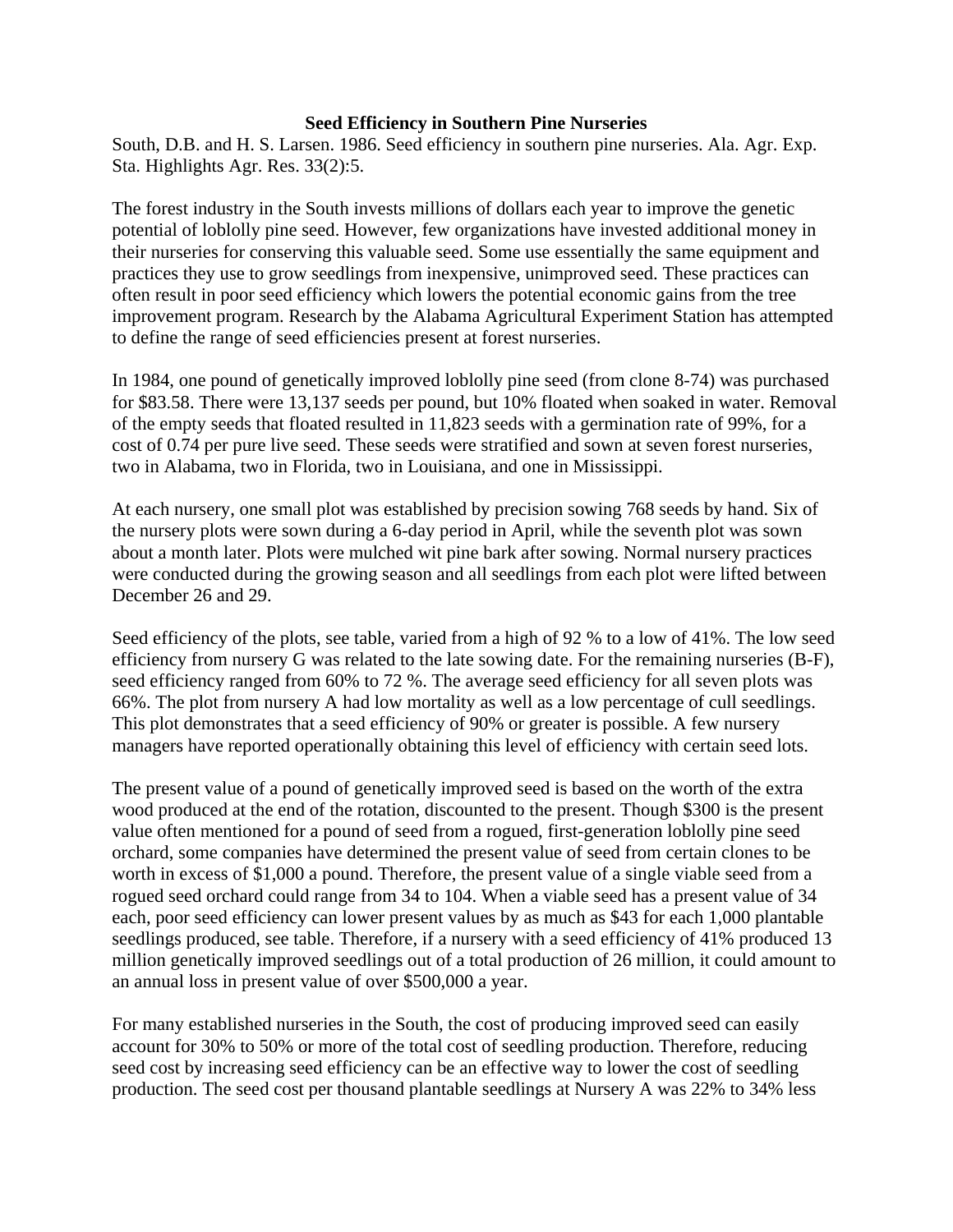## **Seed Efficiency in Southern Pine Nurseries**

South, D.B. and H. S. Larsen. 1986. Seed efficiency in southern pine nurseries. Ala. Agr. Exp. Sta. Highlights Agr. Res. 33(2):5.

The forest industry in the South invests millions of dollars each year to improve the genetic potential of loblolly pine seed. However, few organizations have invested additional money in their nurseries for conserving this valuable seed. Some use essentially the same equipment and practices they use to grow seedlings from inexpensive, unimproved seed. These practices can often result in poor seed efficiency which lowers the potential economic gains from the tree improvement program. Research by the Alabama Agricultural Experiment Station has attempted to define the range of seed efficiencies present at forest nurseries.

In 1984, one pound of genetically improved loblolly pine seed (from clone 8-74) was purchased for \$83.58. There were 13,137 seeds per pound, but 10% floated when soaked in water. Removal of the empty seeds that floated resulted in 11,823 seeds with a germination rate of 99%, for a cost of 0.74 per pure live seed. These seeds were stratified and sown at seven forest nurseries, two in Alabama, two in Florida, two in Louisiana, and one in Mississippi.

At each nursery, one small plot was established by precision sowing 768 seeds by hand. Six of the nursery plots were sown during a 6-day period in April, while the seventh plot was sown about a month later. Plots were mulched wit pine bark after sowing. Normal nursery practices were conducted during the growing season and all seedlings from each plot were lifted between December 26 and 29.

Seed efficiency of the plots, see table, varied from a high of 92 % to a low of 41%. The low seed efficiency from nursery G was related to the late sowing date. For the remaining nurseries (B-F), seed efficiency ranged from 60% to 72 %. The average seed efficiency for all seven plots was 66%. The plot from nursery A had low mortality as well as a low percentage of cull seedlings. This plot demonstrates that a seed efficiency of 90% or greater is possible. A few nursery managers have reported operationally obtaining this level of efficiency with certain seed lots.

The present value of a pound of genetically improved seed is based on the worth of the extra wood produced at the end of the rotation, discounted to the present. Though \$300 is the present value often mentioned for a pound of seed from a rogued, first-generation loblolly pine seed orchard, some companies have determined the present value of seed from certain clones to be worth in excess of \$1,000 a pound. Therefore, the present value of a single viable seed from a rogued seed orchard could range from 34 to 104. When a viable seed has a present value of 34 each, poor seed efficiency can lower present values by as much as \$43 for each 1,000 plantable seedlings produced, see table. Therefore, if a nursery with a seed efficiency of 41% produced 13 million genetically improved seedlings out of a total production of 26 million, it could amount to an annual loss in present value of over \$500,000 a year.

For many established nurseries in the South, the cost of producing improved seed can easily account for 30% to 50% or more of the total cost of seedling production. Therefore, reducing seed cost by increasing seed efficiency can be an effective way to lower the cost of seedling production. The seed cost per thousand plantable seedlings at Nursery A was 22% to 34% less